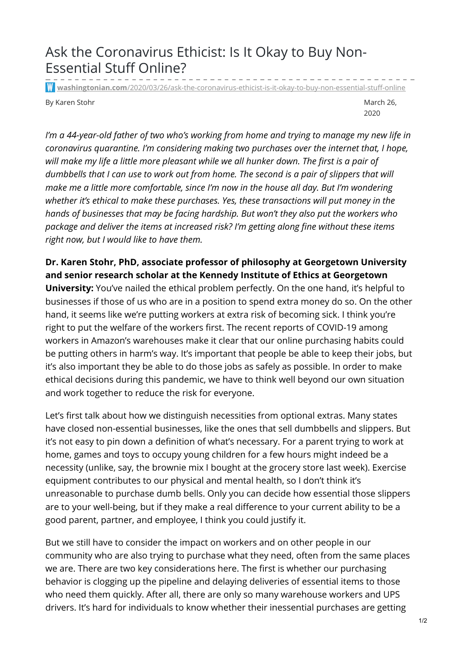## Ask the Coronavirus Ethicist: Is It Okay to Buy Non-Essential Stuff Online?

**washingtonian.com**[/2020/03/26/ask-the-coronavirus-ethicist-is-it-okay-to-buy-non-essential-stuff-online](https://www.washingtonian.com/2020/03/26/ask-the-coronavirus-ethicist-is-it-okay-to-buy-non-essential-stuff-online/)

By Karen Stohr March 26, and the March 26, and the March 26, and the March 26, and the March 26, and the March 26, and the March 26, and the March 26, and the March 26, and the March 26, and the March 26, and the March 26,

2020

*I'm a 44-year-old father of two who's working from home and trying to manage my new life in coronavirus quarantine. I'm considering making two purchases over the internet that, I hope, will make my life a little more pleasant while we all hunker down. The first is a pair of dumbbells that I can use to work out from home. The second is a pair of slippers that will make me a little more comfortable, since I'm now in the house all day. But I'm wondering whether it's ethical to make these purchases. Yes, these transactions will put money in the hands of businesses that may be facing hardship. But won't they also put the workers who package and deliver the items at increased risk? I'm getting along fine without these items right now, but I would like to have them.*

## **Dr. Karen Stohr, PhD, associate professor of philosophy at Georgetown University and senior research scholar at the Kennedy Institute of Ethics at Georgetown**

**University:** You've nailed the ethical problem perfectly. On the one hand, it's helpful to businesses if those of us who are in a position to spend extra money do so. On the other hand, it seems like we're putting workers at extra risk of becoming sick. I think you're right to put the welfare of the workers first. The recent reports of COVID-19 among workers in Amazon's warehouses make it clear that our online purchasing habits could be putting others in harm's way. It's important that people be able to keep their jobs, but it's also important they be able to do those jobs as safely as possible. In order to make ethical decisions during this pandemic, we have to think well beyond our own situation and work together to reduce the risk for everyone.

Let's first talk about how we distinguish necessities from optional extras. Many states have closed non-essential businesses, like the ones that sell dumbbells and slippers. But it's not easy to pin down a definition of what's necessary. For a parent trying to work at home, games and toys to occupy young children for a few hours might indeed be a necessity (unlike, say, the brownie mix I bought at the grocery store last week). Exercise equipment contributes to our physical and mental health, so I don't think it's unreasonable to purchase dumb bells. Only you can decide how essential those slippers are to your well-being, but if they make a real difference to your current ability to be a good parent, partner, and employee, I think you could justify it.

But we still have to consider the impact on workers and on other people in our community who are also trying to purchase what they need, often from the same places we are. There are two key considerations here. The first is whether our purchasing behavior is clogging up the pipeline and delaying deliveries of essential items to those who need them quickly. After all, there are only so many warehouse workers and UPS drivers. It's hard for individuals to know whether their inessential purchases are getting